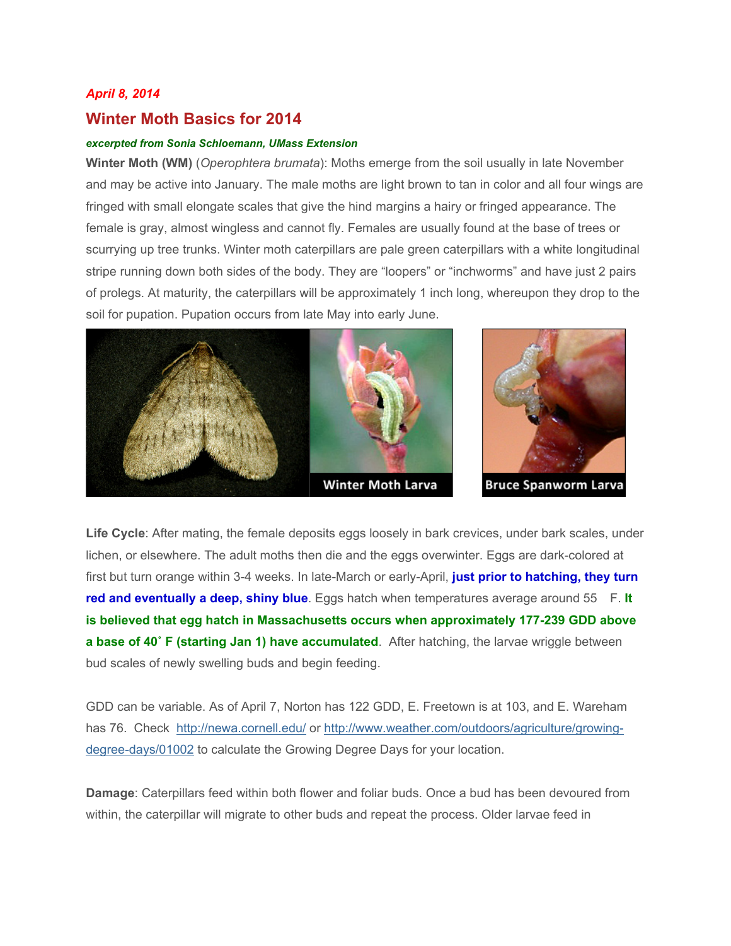## *April 8, 2014*

## **Winter Moth Basics for 2014**

## *excerpted from Sonia Schloemann, UMass Extension*

**Winter Moth (WM)** (*Operophtera brumata*): Moths emerge from the soil usually in late November and may be active into January. The male moths are light brown to tan in color and all four wings are fringed with small elongate scales that give the hind margins a hairy or fringed appearance. The female is gray, almost wingless and cannot fly. Females are usually found at the base of trees or scurrying up tree trunks. Winter moth caterpillars are pale green caterpillars with a white longitudinal stripe running down both sides of the body. They are "loopers" or "inchworms" and have just 2 pairs of prolegs. At maturity, the caterpillars will be approximately 1 inch long, whereupon they drop to the soil for pupation. Pupation occurs from late May into early June.





**Life Cycle**: After mating, the female deposits eggs loosely in bark crevices, under bark scales, under lichen, or elsewhere. The adult moths then die and the eggs overwinter. Eggs are dark-colored at first but turn orange within 3-4 weeks. In late-March or early-April, **just prior to hatching, they turn red and eventually a deep, shiny blue**. Eggs hatch when temperatures average around 55 F. **It is believed that egg hatch in Massachusetts occurs when approximately 177-239 GDD above a base of 40° F (starting Jan 1) have accumulated**. After hatching, the larvae wriggle between bud scales of newly swelling buds and begin feeding.

GDD can be variable. As of April 7, Norton has 122 GDD, E. Freetown is at 103, and E. Wareham has 76. Check http://newa.cornell.edu/ or http://www.weather.com/outdoors/agriculture/growingdegree-days/01002 to calculate the Growing Degree Days for your location.

**Damage**: Caterpillars feed within both flower and foliar buds. Once a bud has been devoured from within, the caterpillar will migrate to other buds and repeat the process. Older larvae feed in